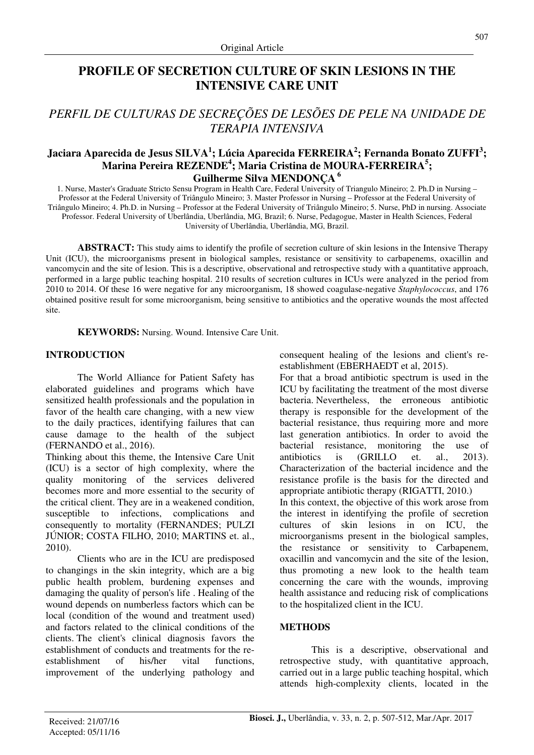# **PROFILE OF SECRETION CULTURE OF SKIN LESIONS IN THE INTENSIVE CARE UNIT**

# *PERFIL DE CULTURAS DE SECREÇÕES DE LESÕES DE PELE NA UNIDADE DE TERAPIA INTENSIVA*

## **Jaciara Aparecida de Jesus SILVA<sup>1</sup> ; Lúcia Aparecida FERREIRA<sup>2</sup> ; Fernanda Bonato ZUFFI<sup>3</sup> ; Marina Pereira REZENDE<sup>4</sup> ; Maria Cristina de MOURA-FERREIRA<sup>5</sup> ; Guilherme Silva MENDONÇA<sup>6</sup>**

1. Nurse, Master's Graduate Stricto Sensu Program in Health Care, Federal University of Triangulo Mineiro; 2. Ph.D in Nursing – Professor at the Federal University of Triângulo Mineiro; 3. Master Professor in Nursing – Professor at the Federal University of Triângulo Mineiro; 4. Ph.D. in Nursing – Professor at the Federal University of Triângulo Mineiro; 5. Nurse, PhD in nursing. Associate Professor. Federal University of Uberlândia, Uberlândia, MG, Brazil; 6. Nurse, Pedagogue, Master in Health Sciences, Federal University of Uberlândia, Uberlândia, MG, Brazil.

**ABSTRACT:** This study aims to identify the profile of secretion culture of skin lesions in the Intensive Therapy Unit (ICU), the microorganisms present in biological samples, resistance or sensitivity to carbapenems, oxacillin and vancomycin and the site of lesion. This is a descriptive, observational and retrospective study with a quantitative approach, performed in a large public teaching hospital. 210 results of secretion cultures in ICUs were analyzed in the period from 2010 to 2014. Of these 16 were negative for any microorganism, 18 showed coagulase-negative *Staphylococcus*, and 176 obtained positive result for some microorganism, being sensitive to antibiotics and the operative wounds the most affected site.

**KEYWORDS:** Nursing. Wound. Intensive Care Unit.

#### **INTRODUCTION**

The World Alliance for Patient Safety has elaborated guidelines and programs which have sensitized health professionals and the population in favor of the health care changing, with a new view to the daily practices, identifying failures that can cause damage to the health of the subject (FERNANDO et al., 2016).

Thinking about this theme, the Intensive Care Unit (ICU) is a sector of high complexity, where the quality monitoring of the services delivered becomes more and more essential to the security of the critical client. They are in a weakened condition, susceptible to infections, complications and consequently to mortality (FERNANDES; PULZI JÚNIOR; COSTA FILHO, 2010; MARTINS et. al., 2010).

Clients who are in the ICU are predisposed to changings in the skin integrity, which are a big public health problem, burdening expenses and damaging the quality of person's life . Healing of the wound depends on numberless factors which can be local (condition of the wound and treatment used) and factors related to the clinical conditions of the clients. The client's clinical diagnosis favors the establishment of conducts and treatments for the reestablishment of his/her vital functions, improvement of the underlying pathology and consequent healing of the lesions and client's reestablishment (EBERHAEDT et al, 2015).

For that a broad antibiotic spectrum is used in the ICU by facilitating the treatment of the most diverse bacteria. Nevertheless, the erroneous antibiotic therapy is responsible for the development of the bacterial resistance, thus requiring more and more last generation antibiotics. In order to avoid the bacterial resistance, monitoring the use of antibiotics is (GRILLO et. al., 2013). Characterization of the bacterial incidence and the resistance profile is the basis for the directed and appropriate antibiotic therapy (RIGATTI, 2010.) In this context, the objective of this work arose from the interest in identifying the profile of secretion cultures of skin lesions in on ICU, the microorganisms present in the biological samples, the resistance or sensitivity to Carbapenem, oxacillin and vancomycin and the site of the lesion, thus promoting a new look to the health team concerning the care with the wounds, improving health assistance and reducing risk of complications to the hospitalized client in the ICU.

## **METHODS**

This is a descriptive, observational and retrospective study, with quantitative approach, carried out in a large public teaching hospital, which attends high-complexity clients, located in the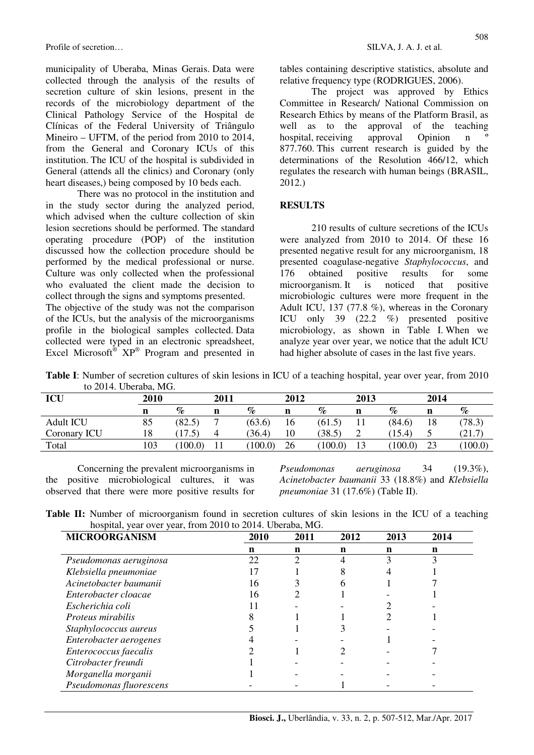Profile of secretion… SILVA, J. A. J. et al.

municipality of Uberaba, Minas Gerais. Data were collected through the analysis of the results of secretion culture of skin lesions, present in the records of the microbiology department of the Clinical Pathology Service of the Hospital de Clínicas of the Federal University of Triângulo Mineiro – UFTM, of the period from 2010 to 2014, from the General and Coronary ICUs of this institution. The ICU of the hospital is subdivided in General (attends all the clinics) and Coronary (only heart diseases,) being composed by 10 beds each.

There was no protocol in the institution and in the study sector during the analyzed period, which advised when the culture collection of skin lesion secretions should be performed. The standard operating procedure (POP) of the institution discussed how the collection procedure should be performed by the medical professional or nurse. Culture was only collected when the professional who evaluated the client made the decision to collect through the signs and symptoms presented.

The objective of the study was not the comparison of the ICUs, but the analysis of the microorganisms profile in the biological samples collected. Data collected were typed in an electronic spreadsheet, Excel Microsoft<sup>®</sup>  $XP^{\circledast}$  Program and presented in tables containing descriptive statistics, absolute and relative frequency type (RODRIGUES, 2006).

The project was approved by Ethics Committee in Research/ National Commission on Research Ethics by means of the Platform Brasil, as well as to the approval of the teaching hospital, receiving approval Opinion n 877.760. This current research is guided by the determinations of the Resolution 466/12, which regulates the research with human beings (BRASIL, 2012.)

#### **RESULTS**

210 results of culture secretions of the ICUs were analyzed from 2010 to 2014. Of these 16 presented negative result for any microorganism, 18 presented coagulase-negative *Staphylococcus*, and 176 obtained positive results for some 176 obtained positive results for some microorganism. It is noticed that positive microbiologic cultures were more frequent in the Adult ICU, 137 (77.8 %), whereas in the Coronary ICU only 39 (22.2 %) presented positive microbiology, as shown in Table I. When we analyze year over year, we notice that the adult ICU had higher absolute of cases in the last five years.

**Table I**: Number of secretion cultures of skin lesions in ICU of a teaching hospital, year over year, from 2010 to 2014. Uberaba, MG.

| ICU              | 2010 |        | 2011 |        | 2012 |        | 2013        |        | 2014 |                |
|------------------|------|--------|------|--------|------|--------|-------------|--------|------|----------------|
|                  |      | $\%$   | n    | $\%$   | n    | $\%$   | n           | %      | n    | $\%$           |
| <b>Adult ICU</b> | 85   | (82.5) |      | (63.6) | 16   | (61.5) |             | (84.6) | 18   | (78.3)         |
| Coronary ICU     | 18   |        |      | (36.4) | 10   | (38.5) | $\sim$<br>∠ | 15.4   | ັ    | 21.7<br>$\tau$ |
| Total            | 103  | 100.0  |      | 100.0  | 26   | 100.0  |             | 100.0  | 23   | 100.0          |

Concerning the prevalent microorganisms in the positive microbiological cultures, it was observed that there were more positive results for

*Pseudomonas aeruginosa* 34 (19.3%), *Acinetobacter baumanii* 33 (18.8%) and *Klebsiella pneumoniae* 31 (17.6%) (Table II).

**Table II:** Number of microorganism found in secretion cultures of skin lesions in the ICU of a teaching hospital, year over year, from 2010 to 2014. Uberaba, MG.

| <b>MICROORGANISM</b>     | 2010 | 2011 | 2012 | 2013 | 2014 |
|--------------------------|------|------|------|------|------|
|                          | n    | n    | n    | n    | n    |
| Pseudomonas aeruginosa   | 22   | ∍    |      |      | ζ    |
| Klebsiella pneumoniae    |      |      |      |      |      |
| Acinetobacter baumanii   | 16   |      |      |      |      |
| Enterobacter cloacae     | 16   |      |      |      |      |
| Escherichia coli         |      |      |      |      |      |
| <i>Proteus mirabilis</i> |      |      |      |      |      |
| Staphylococcus aureus    |      |      |      |      |      |
| Enterobacter aerogenes   |      |      |      |      |      |
| Enterococcus faecalis    |      |      |      |      |      |
| Citrobacter freundi      |      |      |      |      |      |
| Morganella morganii      |      |      |      |      |      |
| Pseudomonas fluorescens  |      |      |      |      |      |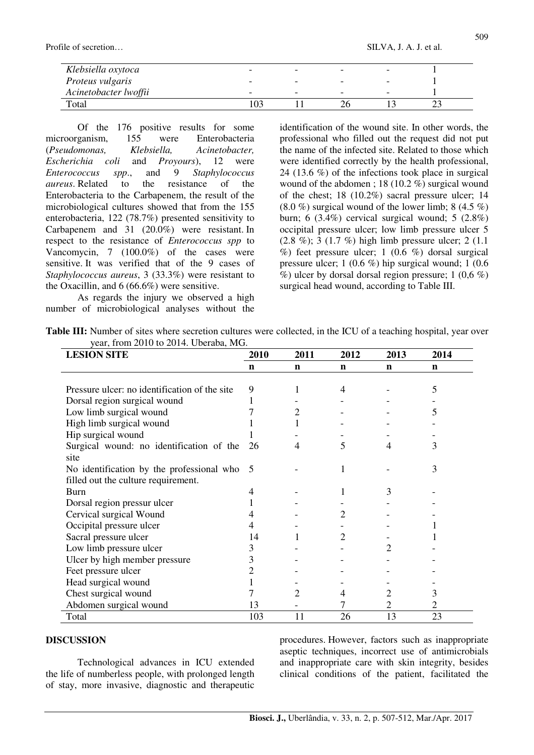Profile of secretion… SILVA, J. A. J. et al.

| Klebsiella oxytoca    | $\overline{\phantom{0}}$ |   |  |
|-----------------------|--------------------------|---|--|
| Proteus vulgaris      | -                        |   |  |
| Acinetobacter lwoffii | -                        | - |  |
| Total                 |                          |   |  |

Of the 176 positive results for some microorganism, 155 were Enterobacteria (*Pseudomonas, Klebsiella, Acinetobacter, Escherichia coli* and *Proyours*), 12 were *Enterococcus spp*., and 9 *Staphylococcus aureus*. Related to the resistance of the Enterobacteria to the Carbapenem, the result of the microbiological cultures showed that from the 155 enterobacteria, 122 (78.7%) presented sensitivity to Carbapenem and 31 (20.0%) were resistant. In respect to the resistance of *Enterococcus spp* to Vancomycin, 7 (100.0%) of the cases were sensitive. It was verified that of the 9 cases of *Staphylococcus aureus*, 3 (33.3%) were resistant to the Oxacillin, and 6 (66.6%) were sensitive.

As regards the injury we observed a high number of microbiological analyses without the identification of the wound site. In other words, the professional who filled out the request did not put the name of the infected site. Related to those which were identified correctly by the health professional, 24 (13.6 %) of the infections took place in surgical wound of the abdomen ; 18 (10.2 %) surgical wound of the chest; 18 (10.2%) sacral pressure ulcer; 14  $(8.0\%)$  surgical wound of the lower limb; 8 (4.5 %) burn; 6 (3.4%) cervical surgical wound; 5 (2.8%) occipital pressure ulcer; low limb pressure ulcer 5  $(2.8 \degree \%)$ ; 3 (1.7 %) high limb pressure ulcer; 2 (1.1)  $%$ ) feet pressure ulcer; 1 (0.6 %) dorsal surgical pressure ulcer; 1 (0.6 %) hip surgical wound; 1 (0.6  $\%$ ) ulcer by dorsal dorsal region pressure; 1 (0,6 %) surgical head wound, according to Table III.

**Table III:** Number of sites where secretion cultures were collected, in the ICU of a teaching hospital, year over year, from 2010 to 2014. Uberaba, MG.

| <b>LESION SITE</b>                            | 2010        | 2011 | 2012        | 2013 | 2014 |
|-----------------------------------------------|-------------|------|-------------|------|------|
|                                               | $\mathbf n$ | n    | $\mathbf n$ | n    | n    |
|                                               |             |      |             |      |      |
| Pressure ulcer: no identification of the site | 9           |      | 4           |      | 5    |
| Dorsal region surgical wound                  | 1           |      |             |      |      |
| Low limb surgical wound                       |             | 2    |             |      | 5    |
| High limb surgical wound                      |             |      |             |      |      |
| Hip surgical wound                            |             |      |             |      |      |
| Surgical wound: no identification of the      | 26          | 4    | 5           | 4    | 3    |
| site                                          |             |      |             |      |      |
| No identification by the professional who 5   |             |      |             |      | 3    |
| filled out the culture requirement.           |             |      |             |      |      |
| Burn                                          | 4           |      |             | 3    |      |
| Dorsal region pressur ulcer                   |             |      |             |      |      |
| Cervical surgical Wound                       | 4           |      | 2           |      |      |
| Occipital pressure ulcer                      |             |      |             |      |      |
| Sacral pressure ulcer                         | 14          |      | 2           |      |      |
| Low limb pressure ulcer                       | 3           |      |             |      |      |
| Ulcer by high member pressure                 | 3           |      |             |      |      |
| Feet pressure ulcer                           | 2           |      |             |      |      |
| Head surgical wound                           |             |      |             |      |      |
| Chest surgical wound                          |             | 2    | 4           | 2    | 3    |
| Abdomen surgical wound                        | 13          |      |             | 2    |      |
| Total                                         | 103         | 11   | 26          | 13   | 23   |

#### **DISCUSSION**

Technological advances in ICU extended the life of numberless people, with prolonged length of stay, more invasive, diagnostic and therapeutic

procedures. However, factors such as inappropriate aseptic techniques, incorrect use of antimicrobials and inappropriate care with skin integrity, besides clinical conditions of the patient, facilitated the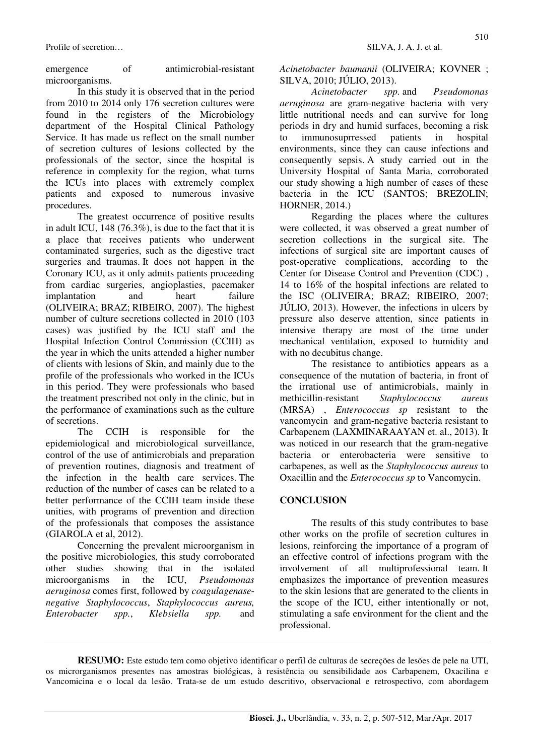emergence of antimicrobial-resistant microorganisms.

In this study it is observed that in the period from 2010 to 2014 only 176 secretion cultures were found in the registers of the Microbiology department of the Hospital Clinical Pathology Service. It has made us reflect on the small number of secretion cultures of lesions collected by the professionals of the sector, since the hospital is reference in complexity for the region, what turns the ICUs into places with extremely complex patients and exposed to numerous invasive procedures.

The greatest occurrence of positive results in adult ICU, 148 (76.3%), is due to the fact that it is a place that receives patients who underwent contaminated surgeries, such as the digestive tract surgeries and traumas. It does not happen in the Coronary ICU, as it only admits patients proceeding from cardiac surgeries, angioplasties, pacemaker implantation and heart failure (OLIVEIRA; BRAZ; RIBEIRO, 2007). The highest number of culture secretions collected in 2010 (103 cases) was justified by the ICU staff and the Hospital Infection Control Commission (CCIH) as the year in which the units attended a higher number of clients with lesions of Skin, and mainly due to the profile of the professionals who worked in the ICUs in this period. They were professionals who based the treatment prescribed not only in the clinic, but in the performance of examinations such as the culture of secretions.

The CCIH is responsible for the epidemiological and microbiological surveillance, control of the use of antimicrobials and preparation of prevention routines, diagnosis and treatment of the infection in the health care services. The reduction of the number of cases can be related to a better performance of the CCIH team inside these unities, with programs of prevention and direction of the professionals that composes the assistance (GIAROLA et al, 2012).

Concerning the prevalent microorganism in the positive microbiologies, this study corroborated other studies showing that in the isolated microorganisms in the ICU, *Pseudomonas aeruginosa* comes first, followed by *coagulagenasenegative Staphylococcus*, *Staphylococcus aureus, Enterobacter spp.*, *Klebsiella spp.* and

*Acinetobacter baumanii* (OLIVEIRA; KOVNER ; SILVA, 2010; JÚLIO, 2013).

*Acinetobacter spp.* and *Pseudomonas aeruginosa* are gram-negative bacteria with very little nutritional needs and can survive for long periods in dry and humid surfaces, becoming a risk to immunosuprressed patients in hospital environments, since they can cause infections and consequently sepsis. A study carried out in the University Hospital of Santa Maria, corroborated our study showing a high number of cases of these bacteria in the ICU (SANTOS: BREZOLIN: HORNER, 2014.)

Regarding the places where the cultures were collected, it was observed a great number of secretion collections in the surgical site. The infections of surgical site are important causes of post-operative complications, according to the Center for Disease Control and Prevention (CDC) , 14 to 16% of the hospital infections are related to the ISC (OLIVEIRA; BRAZ; RIBEIRO, 2007; JÚLIO, 2013). However, the infections in ulcers by pressure also deserve attention, since patients in intensive therapy are most of the time under mechanical ventilation, exposed to humidity and with no decubitus change.

The resistance to antibiotics appears as a consequence of the mutation of bacteria, in front of the irrational use of antimicrobials, mainly in methicillin-resistant *Staphylococcus aureus* (MRSA) , *Enterococcus sp* resistant to the vancomycin and gram-negative bacteria resistant to Carbapenem (LAXMINARAAYAN et. al., 2013). It was noticed in our research that the gram-negative bacteria or enterobacteria were sensitive to carbapenes, as well as the *Staphylococcus aureus* to Oxacillin and the *Enterococcus sp* to Vancomycin.

## **CONCLUSION**

The results of this study contributes to base other works on the profile of secretion cultures in lesions, reinforcing the importance of a program of an effective control of infections program with the involvement of all multiprofessional team. It emphasizes the importance of prevention measures to the skin lesions that are generated to the clients in the scope of the ICU, either intentionally or not, stimulating a safe environment for the client and the professional.

**RESUMO:** Este estudo tem como objetivo identificar o perfil de culturas de secreções de lesões de pele na UTI, os microrganismos presentes nas amostras biológicas, à resistência ou sensibilidade aos Carbapenem, Oxacilina e Vancomicina e o local da lesão. Trata-se de um estudo descritivo, observacional e retrospectivo, com abordagem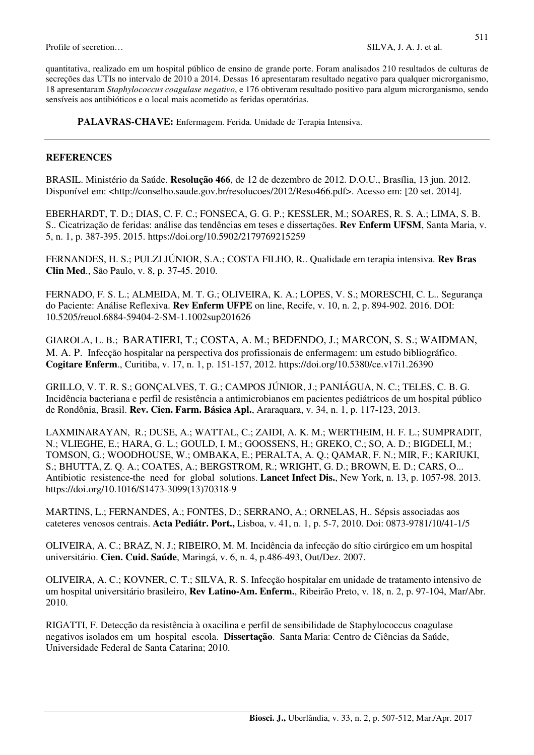quantitativa, realizado em um hospital público de ensino de grande porte. Foram analisados 210 resultados de culturas de secreções das UTIs no intervalo de 2010 a 2014. Dessas 16 apresentaram resultado negativo para qualquer microrganismo, 18 apresentaram *Staphylococcus coagulase negativo*, e 176 obtiveram resultado positivo para algum microrganismo, sendo sensíveis aos antibióticos e o local mais acometido as feridas operatórias.

PALAVRAS-CHAVE: Enfermagem. Ferida. Unidade de Terapia Intensiva.

#### **REFERENCES**

BRASIL. Ministério da Saúde. **Resolução 466**, de 12 de dezembro de 2012. D.O.U., Brasília, 13 jun. 2012. Disponível em: <http://conselho.saude.gov.br/resolucoes/2012/Reso466.pdf>. Acesso em: [20 set. 2014].

EBERHARDT, T. D.; DIAS, C. F. C.; FONSECA, G. G. P.; KESSLER, M.; SOARES, R. S. A.; LIMA, S. B. S.. Cicatrização de feridas: análise das tendências em teses e dissertações. **Rev Enferm UFSM**, Santa Maria, v. 5, n. 1, p. 387-395. 2015. https://doi.org/10.5902/2179769215259

FERNANDES, H. S.; PULZI JÚNIOR, S.A.; COSTA FILHO, R.. Qualidade em terapia intensiva. **Rev Bras Clin Med**., São Paulo, v. 8, p. 37-45. 2010.

FERNADO, F. S. L.; ALMEIDA, M. T. G.; OLIVEIRA, K. A.; LOPES, V. S.; MORESCHI, C. L.. Segurança do Paciente: Análise Reflexiva. **Rev Enferm UFPE** on line, Recife, v. 10, n. 2, p. 894-902. 2016. DOI: 10.5205/reuol.6884-59404-2-SM-1.1002sup201626

GIAROLA, L. B.; BARATIERI, T.; COSTA, A. M.; BEDENDO, J.; MARCON, S. S.; WAIDMAN, M. A. P. Infecção hospitalar na perspectiva dos profissionais de enfermagem: um estudo bibliográfico. **Cogitare Enferm**., Curitiba, v. 17, n. 1, p. 151-157, 2012. https://doi.org/10.5380/ce.v17i1.26390

GRILLO, V. T. R. S.; GONÇALVES, T. G.; CAMPOS JÚNIOR, J.; PANIÁGUA, N. C.; TELES, C. B. G. Incidência bacteriana e perfil de resistência a antimicrobianos em pacientes pediátricos de um hospital público de Rondônia, Brasil. **Rev. Cien. Farm. Básica Apl.**, Araraquara, v. 34, n. 1, p. 117-123, 2013.

LAXMINARAYAN, R.; DUSE, A.; WATTAL, C.; ZAIDI, A. K. M.; WERTHEIM, H. F. L.; SUMPRADIT, N.; VLIEGHE, E.; HARA, G. L.; GOULD, I. M.; GOOSSENS, H.; GREKO, C.; SO, A. D.; BIGDELI, M.; TOMSON, G.; WOODHOUSE, W.; OMBAKA, E.; PERALTA, A. Q.; QAMAR, F. N.; MIR, F.; KARIUKI, S.; BHUTTA, Z. Q. A.; COATES, A.; BERGSTROM, R.; WRIGHT, G. D.; BROWN, E. D.; CARS, O... Antibiotic resistence-the need for global solutions. **Lancet Infect Dis.**, New York, n. 13, p. 1057-98. 2013. https://doi.org/10.1016/S1473-3099(13)70318-9

MARTINS, L.; FERNANDES, A.; FONTES, D.; SERRANO, A.; ORNELAS, H.. Sépsis associadas aos cateteres venosos centrais. **Acta Pediátr. Port.,** Lisboa, v. 41, n. 1, p. 5-7, 2010. Doi: 0873-9781/10/41-1/5

OLIVEIRA, A. C.; BRAZ, N. J.; RIBEIRO, M. M. Incidência da infecção do sítio cirúrgico em um hospital universitário. **Cien. Cuid. Saúde**, Maringá, v. 6, n. 4, p.486-493, Out/Dez. 2007.

OLIVEIRA, A. C.; KOVNER, C. T.; SILVA, R. S. Infecção hospitalar em unidade de tratamento intensivo de um hospital universitário brasileiro, **Rev Latino-Am. Enferm.**, Ribeirão Preto, v. 18, n. 2, p. 97-104, Mar/Abr. 2010.

RIGATTI, F. Detecção da resistência à oxacilina e perfil de sensibilidade de Staphylococcus coagulase negativos isolados em um hospital escola. **Dissertação**. Santa Maria: Centro de Ciências da Saúde, Universidade Federal de Santa Catarina; 2010.